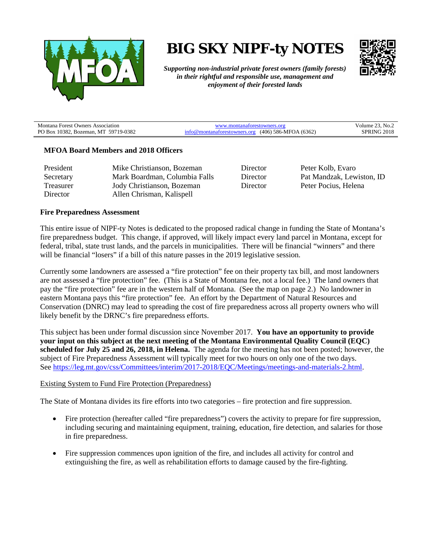

**BIG SKY NIPF-ty NOTES**



*Supporting non-industrial private forest owners (family forests) in their rightful and responsible use, management and enjoyment of their forested lands*

| <b>Montana Forest Owners Association</b> | www.montanaforestowners.org                          | Volume 23, No. $\angle$ |
|------------------------------------------|------------------------------------------------------|-------------------------|
| PO Box 10382, Bozeman, MT 59719-0382     | fo@montanaforestowners.org $(406)$ 586-MFOA $(6362)$ | <b>SPRING 2018</b>      |

### **MFOA Board Members and 2018 Officers**

| President | Mike Christianson, Bozeman    |
|-----------|-------------------------------|
| Secretary | Mark Boardman, Columbia Falls |
| Treasurer | Jody Christianson, Bozeman    |
| Director  | Allen Chrisman, Kalispell     |

Director Peter Kolb, Evaro Director Pat Mandzak, Lewiston, ID Director Peter Pocius, Helena

### **Fire Preparedness Assessment**

This entire issue of NIPF-ty Notes is dedicated to the proposed radical change in funding the State of Montana's fire preparedness budget. This change, if approved, will likely impact every land parcel in Montana, except for federal, tribal, state trust lands, and the parcels in municipalities. There will be financial "winners" and there will be financial "losers" if a bill of this nature passes in the 2019 legislative session.

Currently some landowners are assessed a "fire protection" fee on their property tax bill, and most landowners are not assessed a "fire protection" fee. (This is a State of Montana fee, not a local fee.) The land owners that pay the "fire protection" fee are in the western half of Montana. (See the map on page 2.) No landowner in eastern Montana pays this "fire protection" fee. An effort by the Department of Natural Resources and Conservation (DNRC) may lead to spreading the cost of fire preparedness across all property owners who will likely benefit by the DRNC's fire preparedness efforts.

This subject has been under formal discussion since November 2017. **You have an opportunity to provide your input on this subject at the next meeting of the Montana Environmental Quality Council (EQC) scheduled for July 25 and 26, 2018, in Helena.** The agenda for the meeting has not been posted; however, the subject of Fire Preparedness Assessment will typically meet for two hours on only one of the two days. See [https://leg.mt.gov/css/Committees/interim/2017-2018/EQC/Meetings/meetings-and-materials-2.html.](https://leg.mt.gov/css/Committees/interim/2017-2018/EQC/Meetings/meetings-and-materials-2.html)

#### Existing System to Fund Fire Protection (Preparedness)

The State of Montana divides its fire efforts into two categories – fire protection and fire suppression.

- Fire protection (hereafter called "fire preparedness") covers the activity to prepare for fire suppression, including securing and maintaining equipment, training, education, fire detection, and salaries for those in fire preparedness.
- Fire suppression commences upon ignition of the fire, and includes all activity for control and extinguishing the fire, as well as rehabilitation efforts to damage caused by the fire-fighting.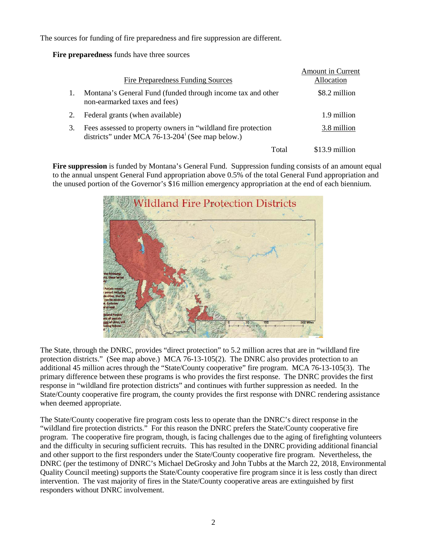The sources for funding of fire preparedness and fire suppression are different.

**Fire preparedness** funds have three sources

|    |                                                                                                                              | <b>Amount in Current</b> |
|----|------------------------------------------------------------------------------------------------------------------------------|--------------------------|
|    | <b>Fire Preparedness Funding Sources</b>                                                                                     | Allocation               |
|    | Montana's General Fund (funded through income tax and other<br>non-earmarked taxes and fees)                                 | \$8.2 million            |
| 2. | Federal grants (when available)                                                                                              | 1.9 million              |
| 3. | Fees assessed to property owners in "wildland fire protection"<br>districts" under MCA 76-13-204 $^{\circ}$ (See map below.) | 3.8 million              |
|    | Total                                                                                                                        | \$13.9 million           |

**Fire suppression** is funded by Montana's General Fund. Suppression funding consists of an amount equal to the annual unspent General Fund appropriation above 0.5% of the total General Fund appropriation and the unused portion of the Governor's \$16 million emergency appropriation at the end of each biennium.



The State, through the DNRC, provides "direct protection" to 5.2 million acres that are in "wildland fire protection districts." (See map above.) MCA 76-13-105(2). The DNRC also provides protection to an additional 45 million acres through the "State/County cooperative" fire program. MCA 76-13-105(3). The primary difference between these programs is who provides the first response. The DNRC provides the first response in "wildland fire protection districts" and continues with further suppression as needed. In the State/County cooperative fire program, the county provides the first response with DNRC rendering assistance when deemed appropriate.

The State/County cooperative fire program costs less to operate than the DNRC's direct response in the "wildland fire protection districts." For this reason the DNRC prefers the State/County cooperative fire program. The cooperative fire program, though, is facing challenges due to the aging of firefighting volunteers and the difficulty in securing sufficient recruits. This has resulted in the DNRC providing additional financial and other support to the first responders under the State/County cooperative fire program. Nevertheless, the DNRC (per the testimony of DNRC's Michael DeGrosky and John Tubbs at the March 22, 2018, Environmental Quality Council meeting) supports the State/County cooperative fire program since it is less costly than direct intervention. The vast majority of fires in the State/County cooperative areas are extinguished by first responders without DNRC involvement.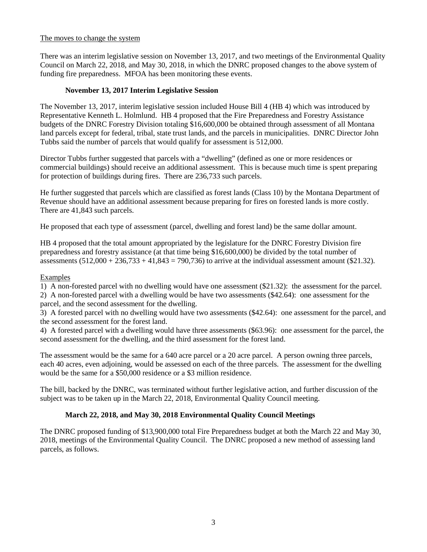## The moves to change the system

There was an interim legislative session on November 13, 2017, and two meetings of the Environmental Quality Council on March 22, 2018, and May 30, 2018, in which the DNRC proposed changes to the above system of funding fire preparedness. MFOA has been monitoring these events.

# **November 13, 2017 Interim Legislative Session**

The November 13, 2017, interim legislative session included House Bill 4 (HB 4) which was introduced by Representative Kenneth L. Holmlund. HB 4 proposed that the Fire Preparedness and Forestry Assistance budgets of the DNRC Forestry Division totaling \$16,600,000 be obtained through assessment of all Montana land parcels except for federal, tribal, state trust lands, and the parcels in municipalities. DNRC Director John Tubbs said the number of parcels that would qualify for assessment is 512,000.

Director Tubbs further suggested that parcels with a "dwelling" (defined as one or more residences or commercial buildings) should receive an additional assessment. This is because much time is spent preparing for protection of buildings during fires. There are 236,733 such parcels.

He further suggested that parcels which are classified as forest lands (Class 10) by the Montana Department of Revenue should have an additional assessment because preparing for fires on forested lands is more costly. There are 41,843 such parcels.

He proposed that each type of assessment (parcel, dwelling and forest land) be the same dollar amount.

HB 4 proposed that the total amount appropriated by the legislature for the DNRC Forestry Division fire preparedness and forestry assistance (at that time being \$16,600,000) be divided by the total number of assessments  $(512,000 + 236,733 + 41,843 = 790,736)$  to arrive at the individual assessment amount (\$21.32).

## Examples

1) A non-forested parcel with no dwelling would have one assessment (\$21.32): the assessment for the parcel.

2) A non-forested parcel with a dwelling would be have two assessments (\$42.64): one assessment for the parcel, and the second assessment for the dwelling.

3) A forested parcel with no dwelling would have two assessments (\$42.64): one assessment for the parcel, and the second assessment for the forest land.

4) A forested parcel with a dwelling would have three assessments (\$63.96): one assessment for the parcel, the second assessment for the dwelling, and the third assessment for the forest land.

The assessment would be the same for a 640 acre parcel or a 20 acre parcel. A person owning three parcels, each 40 acres, even adjoining, would be assessed on each of the three parcels. The assessment for the dwelling would be the same for a \$50,000 residence or a \$3 million residence.

The bill, backed by the DNRC, was terminated without further legislative action, and further discussion of the subject was to be taken up in the March 22, 2018, Environmental Quality Council meeting.

# **March 22, 2018, and May 30, 2018 Environmental Quality Council Meetings**

The DNRC proposed funding of \$13,900,000 total Fire Preparedness budget at both the March 22 and May 30, 2018, meetings of the Environmental Quality Council. The DNRC proposed a new method of assessing land parcels, as follows.